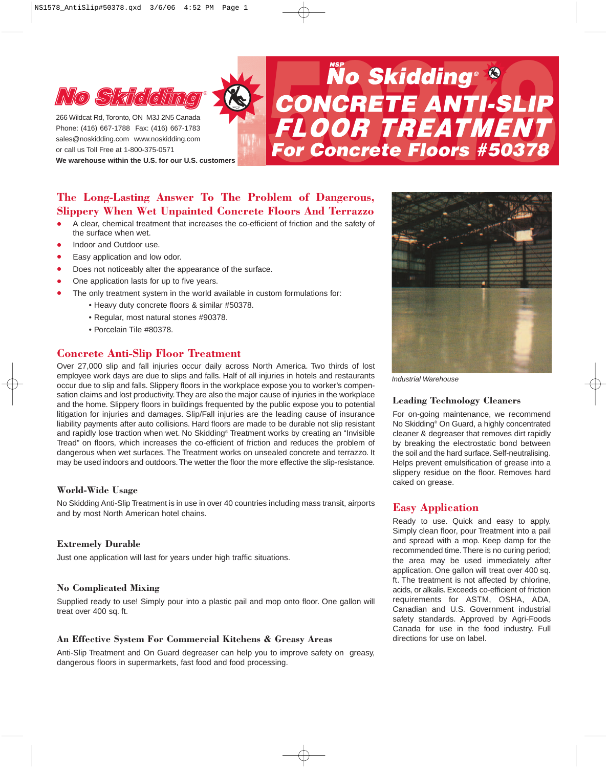

Phone: (416) 667-1788 Fax: (416) 667-1783 sales@noskidding.com www.noskidding.com or call us Toll Free at 1-800-375-0571

**We warehouse within the U.S. for our U.S. customers**

# **No Skidding Consumed Beach Concerciat Rd, Toronto, ON M3J 2N5 Canada<br>
Phone: (416) 667-1788 Fax: (416) 667-1783<br>
Sales@noskidding.com www.noskidding.com<br>
or call us Toll Free at 1-800-375-0571<br>We warehouse within the U.S.**

# **The Long-Lasting Answer To The Problem of Dangerous, Slippery When Wet Unpainted Concrete Floors And Terrazzo**

- A clear, chemical treatment that increases the co-efficient of friction and the safety of the surface when wet.
- Indoor and Outdoor use.<br>• Easy application and low
- Easy application and low odor.
- Does not noticeably alter the appearance of the surface.<br>• One application lasts for up to five years
- One application lasts for up to five years.
- The only treatment system in the world available in custom formulations for:
	- Heavy duty concrete floors & similar #50378.
	- Regular, most natural stones #90378.
	- Porcelain Tile #80378.

# **Concrete Anti-Slip Floor Treatment**

Over 27,000 slip and fall injuries occur daily across North America. Two thirds of lost employee work days are due to slips and falls. Half of all injuries in hotels and restaurants occur due to slip and falls. Slippery floors in the workplace expose you to worker's compensation claims and lost productivity.They are also the major cause of injuries in the workplace and the home. Slippery floors in buildings frequented by the public expose you to potential litigation for injuries and damages. Slip/Fall injuries are the leading cause of insurance liability payments after auto collisions. Hard floors are made to be durable not slip resistant and rapidly lose traction when wet. No Skidding® Treatment works by creating an "Invisible Tread" on floors, which increases the co-efficient of friction and reduces the problem of dangerous when wet surfaces. The Treatment works on unsealed concrete and terrazzo. It may be used indoors and outdoors.The wetter the floor the more effective the slip-resistance.

#### **World-Wide Usage**

No Skidding Anti-Slip Treatment is in use in over 40 countries including mass transit, airports and by most North American hotel chains.

#### **Extremely Durable**

Just one application will last for years under high traffic situations.

#### **No Complicated Mixing**

Supplied ready to use! Simply pour into a plastic pail and mop onto floor. One gallon will treat over 400 sq. ft.

#### **An Effective System For Commercial Kitchens & Greasy Areas**

Anti-Slip Treatment and On Guard degreaser can help you to improve safety on greasy, dangerous floors in supermarkets, fast food and food processing.



*Industrial Warehouse*

#### **Leading Technology Cleaners**

For on-going maintenance, we recommend No Skidding® On Guard, a highly concentrated cleaner & degreaser that removes dirt rapidly by breaking the electrostatic bond between the soil and the hard surface. Self-neutralising. Helps prevent emulsification of grease into a slippery residue on the floor. Removes hard caked on grease.

# **Easy Application**

Ready to use. Quick and easy to apply. Simply clean floor, pour Treatment into a pail and spread with a mop. Keep damp for the recommended time.There is no curing period; the area may be used immediately after application. One gallon will treat over 400 sq. ft. The treatment is not affected by chlorine, acids, or alkalis. Exceeds co-efficient of friction requirements for ASTM, OSHA, ADA, Canadian and U.S. Government industrial safety standards. Approved by Agri-Foods Canada for use in the food industry. Full directions for use on label.